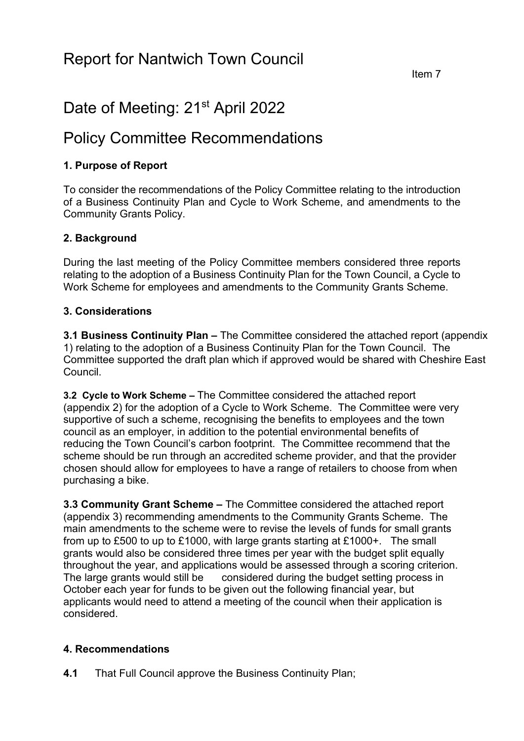# Date of Meeting: 21<sup>st</sup> April 2022

# Policy Committee Recommendations

# **1. Purpose of Report**

To consider the recommendations of the Policy Committee relating to the introduction of a Business Continuity Plan and Cycle to Work Scheme, and amendments to the Community Grants Policy.

# **2. Background**

During the last meeting of the Policy Committee members considered three reports relating to the adoption of a Business Continuity Plan for the Town Council, a Cycle to Work Scheme for employees and amendments to the Community Grants Scheme.

#### **3. Considerations**

**3.1 Business Continuity Plan –** The Committee considered the attached report (appendix 1) relating to the adoption of a Business Continuity Plan for the Town Council. The Committee supported the draft plan which if approved would be shared with Cheshire East Council.

**3.2 Cycle to Work Scheme –** The Committee considered the attached report (appendix 2) for the adoption of a Cycle to Work Scheme. The Committee were very supportive of such a scheme, recognising the benefits to employees and the town council as an employer, in addition to the potential environmental benefits of reducing the Town Council's carbon footprint. The Committee recommend that the scheme should be run through an accredited scheme provider, and that the provider chosen should allow for employees to have a range of retailers to choose from when purchasing a bike.

**3.3 Community Grant Scheme –** The Committee considered the attached report (appendix 3) recommending amendments to the Community Grants Scheme. The main amendments to the scheme were to revise the levels of funds for small grants from up to £500 to up to £1000, with large grants starting at £1000+. The small grants would also be considered three times per year with the budget split equally throughout the year, and applications would be assessed through a scoring criterion. The large grants would still be considered during the budget setting process in October each year for funds to be given out the following financial year, but applicants would need to attend a meeting of the council when their application is considered.

# **4. Recommendations**

**4.1** That Full Council approve the Business Continuity Plan;